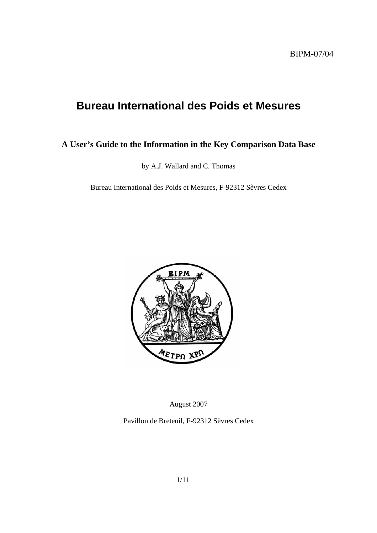# **Bureau International des Poids et Mesures**

## **A User's Guide to the Information in the Key Comparison Data Base**

by A.J. Wallard and C. Thomas

Bureau International des Poids et Mesures, F-92312 Sèvres Cedex



August 2007

Pavillon de Breteuil, F-92312 Sèvres Cedex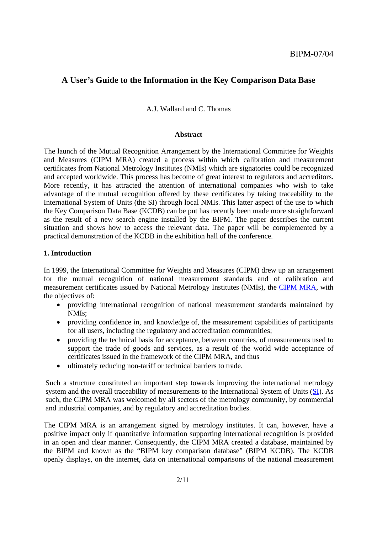## **A User's Guide to the Information in the Key Comparison Data Base**

A. J. Wallard and C. Thomas

#### **Abstract**

The launch of the Mutual Recognition Arrangement by the International Committee for Weights and Measures (CIPM MRA) created a process within which calibration and measurement certificates from National Metrology Institutes (NMIs) which are signatories could be recognized and accepted worldwide. This process has become of great interest to regulators and accreditors. More recently, it has attracted the attention of international companies who wish to take advantage of the mutual recognition offered by these certificates by taking traceability to the International System of Units (the SI) through local NMIs. This latter aspect of the use to which the Key Comparison Data Base (KCDB) can be put has recently been made more straightforward as the result of a new search engine installed by the BIPM. The paper describes the current situation and shows how to access the relevant data. The paper will be complemented by a practical demonstration of the KCDB in the exhibition hall of the conference.

#### **1. Introduction**

In 1999, the International Committee for Weights and Measures (CIPM) drew up an arrangement for the mutual recognition of national measurement standards and of calibration and measurement certificates issued by National Metrology Institutes (NMIs), t[he CIPM MRA, w](https://www.bipm.org/en/cipm-mra/)ith the objectives of:

- providing international recognition of national measurement standards maintained by NMIs;
- providing confidence in, and knowledge of, the measurement capabilities of participants for all users, including the regulatory and accreditation communities;
- providing the technical basis for acceptance, between countries, of measurements used to support the trade of goods and services, as a result of the world wide acceptance of certificates issued in the framework of the CIPM MRA, and thus
- ultimately reducing non-tariff or technical barriers to trade.

Such a structure constituted an important step towards improving the international metrology system and the overall traceability of measurements to the International System of Un[its \(SI\). A](https://www.bipm.org/en/si/)s such, the CIPM MRA was welcomed by all sectors of the metrology community, by commercial and industrial companies, and by regulatory and accreditation bodies.

The CIPM MRA is an arrangement signed by metrology institutes. It can, however, have a positive impact only if quantitative information supporting international recognition is provided in an open and clear manner. Consequently, the CIPM MRA created a database, maintained by the BIPM and known as the "BIPM key comparison database" (BIPM KCDB). The KCDB openly displays, on the internet, data on international comparisons of the national measurement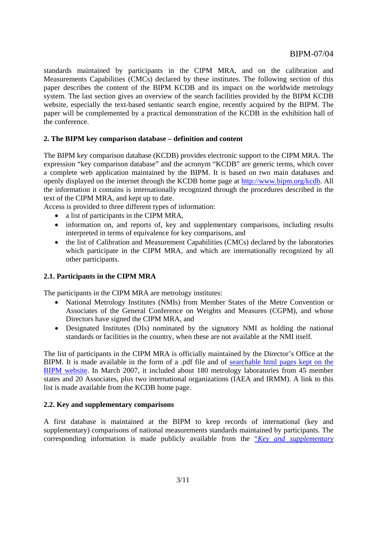standards maintained by participants in the CIPM MRA, and on the calibration and Measurements Capabilities (CMCs) declared by these institutes. The following section of this paper describes the content of the BIPM KCDB and its impact on the worldwide metrology system. The last section gives an overview of the search facilities provided by the BIPM KCDB website, especially the text-based semantic search engine, recently acquired by the BIPM. The paper will be complemented by a practical demonstration of the KCDB in the exhibition hall of the conference.

## **2. The BIPM key comparison database – definition and content**

The BIPM key comparison database (KCDB) provides electronic support to the CIPM MRA. The expression "key comparison database" and the acronym "KCDB" are generic terms, which cover a complete web application maintained by the BIPM. It is based on two main databases and openly displayed on the internet through the KCDB home page [at http://www.bipm.org/kcdb. All](http://kcdb.bipm.org/) the information it contains is internationally recognized through the procedures described in the text of the CIPM MRA, and kept up to date.

Access is provided to three different types of information:

- a list of participants in the CIPM MRA,
- information on, and reports of, key and supplementary comparisons, including results interpreted in terms of equivalence for key comparisons, and
- the list of Calibration and Measurement Capabilities (CMCs) declared by the laboratories which participate in the CIPM MRA, and which are internationally recognized by all other participants.

## **2.1. Participants in the CIPM MRA**

The participants in the CIPM MRA are metrology institutes:

- National Metrology Institutes (NMIs) from Member States of the Metre Convention or Associates of the General Conference on Weights and Measures (CGPM), and whose Directors have signed the CIPM MRA, and
- Designated Institutes (DIs) nominated by the signatory NMI as holding the national standards or facilities in the country, when these are not available at the NMI itself.

The list of participants in the CIPM MRA is officially maintained by the Director's Office at the [BIPM. It is made available in the form of a .pdf file and of searchable html pages kept on the](https://www.bipm.org/en/cipm-mra/participation/signatories.html)  BIPM website. In March 2007, it included about 180 metrology laboratories from 45 member states and 20 Associates, plus two international organizations (IAEA and IRMM). A link to this list is made available from the KCDB home page.

## **2.2. Key and supplementary comparisons**

A first database is maintained at the BIPM to keep records of international (key and supplementary) comparisons of national measurements standards maintained by participants. The corresponding information is made publicly available from the "*[Key and supplementary](http://kcdb.bipm.org/appendixB/KCDB_ApB_search.asp)*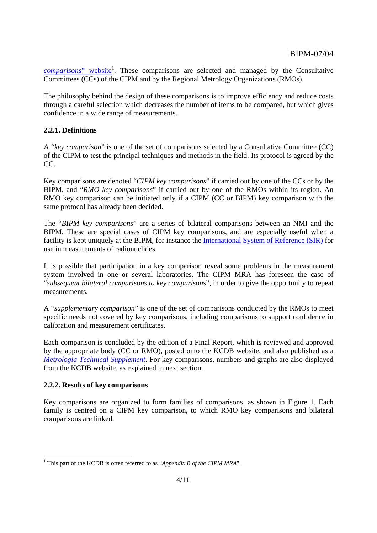comparisons" website<sup>1</sup>. These comparisons are selected and managed by the Consultative Committees (CCs) of the CIPM and by the Regional Metrology Organizations (RMOs).

The philosophy behind the design of these comparisons is to improve efficiency and reduce costs through a careful selection which decreases the number of items to be compared, but which gives confidence in a wide range of measurements.

## **2.2.1. Definitions**

A "*key comparison*" is one of the set of comparisons selected by a Consultative Committee (CC) of the CIPM to test the principal techniques and methods in the field. Its protocol is agreed by the CC.

Key comparisons are denoted "*CIPM key comparisons*" if carried out by one of the CCs or by the BIPM, and "*RMO key comparisons*" if carried out by one of the RMOs within its region. An RMO key comparison can be initiated only if a CIPM (CC or BIPM) key comparison with the same protocol has already been decided.

The "*BIPM key comparisons*" are a series of bilateral comparisons between an NMI and the BIPM. These are special cases of CIPM key comparisons, and are especially useful when a facility is kept uniquely at the BIPM, for instance t[he International System of Reference \(SIR\) for](https://www.bipm.org/en/scientific/ionizing/radionuclides/sir/)  use in measurements of radionuclides.

It is possible that participation in a key comparison reveal some problems in the measurement system involved in one or several laboratories. The CIPM MRA has foreseen the case of "*subsequent bilateral comparisons to key comparisons*", in order to give the opportunity to repeat measurements.

A "*supplementary comparison*" is one of the set of comparisons conducted by the RMOs to meet specific needs not covered by key comparisons, including comparisons to support confidence in calibration and measurement certificates.

Each comparison is concluded by the edition of a Final Report, which is reviewed and approved by the appropriate body (CC or RMO), posted onto the KCDB website, and also published as a *Metrologia Technical Supplement*. For key comparisons, numbers and graphs are also displayed [from the KCDB website, as explained](https://www.bipm.org/metrologia/TechSupp.jsp) in next section.

## **2.2.2. Results of key comparisons**

Key comparisons are organized to form families of comparisons, as shown in Figure 1. Each family is centred on a CIPM key comparison, to which RMO key comparisons and bilateral comparisons are linked.

<sup>&</sup>lt;sup>1</sup> This part of the KCDB is often referred to as "*Appendix B of the CIPM MRA*".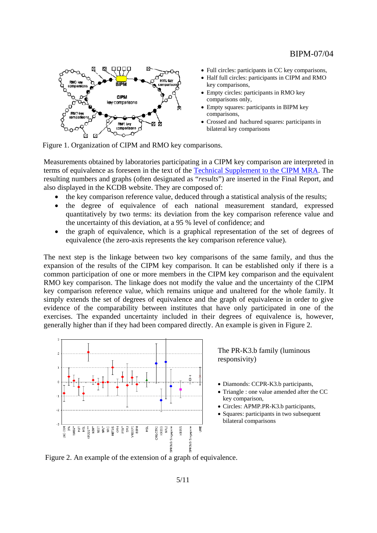

- Full circles: participants in CC key comparisons,
- Half full circles: participants in CIPM and RMO key comparisons,
- Empty circles: participants in RMO key comparisons only,
- Empty squares: participants in BIPM key comparisons,
- Crossed and hachured squares: participants in bilateral key comparisons

Figure 1. Organization of CIPM and RMO key comparisons.

Measurements obtained by laboratories participating in a CIPM key comparison are interpreted in terms of equivalence as foreseen in the text of [the Technical Supplement to the CIPM MRA. The](https://www.bipm.org/utils/en/pdf/mra_techsuppl2003.pdf) resulting numbers and graphs (often designated as "*results*") are inserted in the Final Report, and also displayed in the KCDB website. They are composed of:

- the key comparison reference value, deduced through a statistical analysis of the results;
- the degree of equivalence of each national measurement standard, expressed quantitatively by two terms: its deviation from the key comparison reference value and the uncertainty of this deviation, at a 95 % level of confidence; and
- the graph of equivalence, which is a graphical representation of the set of degrees of equivalence (the zero-axis represents the key comparison reference value).

The next step is the linkage between two key comparisons of the same family, and thus the expansion of the results of the CIPM key comparison. It can be established only if there is a common participation of one or more members in the CIPM key comparison and the equivalent RMO key comparison. The linkage does not modify the value and the uncertainty of the CIPM key comparison reference value, which remains unique and unaltered for the whole family. It simply extends the set of degrees of equivalence and the graph of equivalence in order to give evidence of the comparability between institutes that have only participated in one of the exercises. The expanded uncertainty included in their degrees of equivalence is, however, generally higher than if they had been compared directly. An example is given in Figure 2.



The PR-K3.b family (luminous responsivity)

- Diamonds: CCPR-K3.b participants,
- Triangle : one value amended after the CC key comparison,
- Circles: APMP.PR-K3.b participants,
- Squares: participants in two subsequent bilateral comparisons

Figure 2. An example of the extension of a graph of equivalence.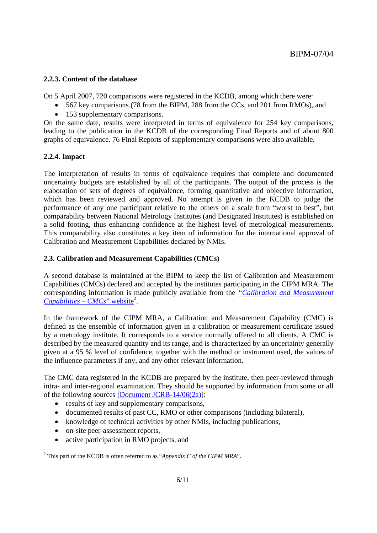## **2.2.3. Content of the database**

On 5 April 2007, 720 comparisons were registered in the KCDB, among which there were:

- 567 key comparisons (78 from the BIPM, 288 from the CCs, and 201 from RMOs), and
- 153 supplementary comparisons.

On the same date, results were interpreted in terms of equivalence for 254 key comparisons, leading to the publication in the KCDB of the corresponding Final Reports and of about 800 graphs of equivalence. 76 Final Reports of supplementary comparisons were also available.

## **2.2.4. Impact**

The interpretation of results in terms of equivalence requires that complete and documented uncertainty budgets are established by all of the participants. The output of the process is the elaboration of sets of degrees of equivalence, forming quantitative and objective information, which has been reviewed and approved. No attempt is given in the KCDB to judge the performance of any one participant relative to the others on a scale from "worst to best", but comparability between National Metrology Institutes (and Designated Institutes) is established on a solid footing, thus enhancing confidence at the highest level of metrological measurements. This comparability also constitutes a key item of information for the international approval of Calibration and Measurement Capabilities declared by NMIs.

## **2.3. Calibration and Measurement Capabilities (CMCs)**

A second database is maintained at the BIPM to keep the list of Calibration and Measurement Capabilities (CMCs) declared and accepted by the institutes participating in the CIPM MRA. The [corresponding information is made publicly available from the](http://kcdb.bipm.org/appendixC/default.asp) *"Calibration and Measurement Capabilities – CMCs*" website2 .

In the framework of the CIPM MRA, a Calibration and Measurement Capability (CMC) is defined as the ensemble of information given in a calibration or measurement certificate issued by a metrology institute. It corresponds to a service normally offered to all clients. A CMC is described by the measured quantity and its range, and is characterized by an uncertainty generally given at a 95 % level of confidence, together with the method or instrument used, the values of the influence parameters if any, and any other relevant information.

The CMC data registered in the KCDB are prepared by the institute, then peer-reviewed through intra- and inter-regional examination. They should be supported by information from some or all of the following sourc[es \[Document JCRB-14/06\(2a\)\]:](https://www.bipm.org/utils/common/documents/jcrb/AppC_criteria.pdf) 

- results of key and supplementary comparisons,
- documented results of past CC, RMO or other comparisons (including bilateral).
- knowledge of technical activities by other NMIs, including publications,
- on-site peer-assessment reports,
- active participation in RMO projects, and

<sup>&</sup>lt;sup>2</sup> This part of the KCDB is often referred to as "*Appendix C of the CIPM MRA*".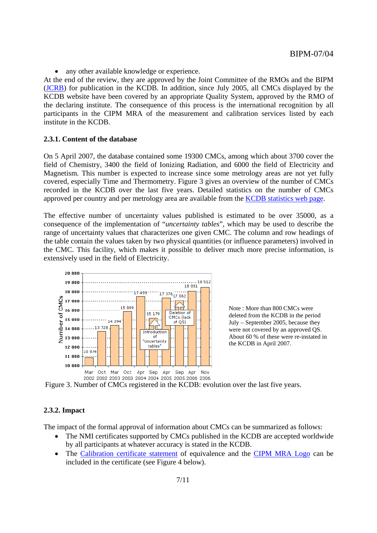• any other available knowledge or experience.

At the end of the review, they are approved by the Joint Committee of the RMOs and the BIPM [\(JCRB\) for p](https://www.bipm.org/en/committees/jc/jcrb/)ublication in the KCDB. In addition, since July 2005, all CMCs displayed by the KCDB website have been covered by an appropriate Quality System, approved by the RMO of the declaring institute. The consequence of this process is the international recognition by all participants in the CIPM MRA of the measurement and calibration services listed by each institute in the KCDB.

#### **2.3.1. Content of the database**

On 5 April 2007, the database contained some 19300 CMCs, among which about 3700 cover the field of Chemistry, 3400 the field of Ionizing Radiation, and 6000 the field of Electricity and Magnetism. This number is expected to increase since some metrology areas are not yet fully covered, especially Time and Thermometry. Figure 3 gives an overview of the number of CMCs recorded in the KCDB over the last five years. Detailed stat[istics on the number of CMCs](https://www.bipm.org/utils/common/pdf/KCDB_CMCs.pdf)  approved per country and per metrology area are available from the KCDB statistics web page.

The effective number of uncertainty values published is estimated to be over 35000, as a consequence of the implementation of "*uncertainty tables*", which may be used to describe the range of uncertainty values that characterizes one given CMC. The column and row headings of the table contain the values taken by two physical quantities (or influence parameters) involved in the CMC. This facility, which makes it possible to deliver much more precise information, is extensively used in the field of Electricity.



Note : More than 800 CMCs were deleted from the KCDB in the period July – September 2005, because they were not covered by an approved QS. About 60 % of these were re-instated in the KCDB in April 2007.

Figure 3. Number of CMCs registered in the KCDB: evolution over the last five years.

#### **2.3.2. Impact**

The impact of the formal approval of information about CMCs can be summarized as follows:

- The NMI certificates supported by CMCs published in the KCDB are accepted worldwide by all participants at whatever accuracy is stated in the KCDB.
- Th[e Calibration certificate statement of e](https://www.bipm.org/utils/common/documents/jcrb/certificate_statement.pdf)quivalence and th[e CIPM MRA Logo can](https://www.bipm.org/utils/en/pdf/Guide_to_CIPM_MRA_Logo.pdf) be included in the certificate (see Figure 4 below).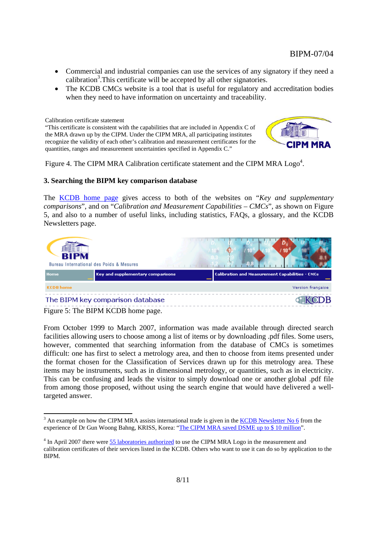- Commercial and industrial companies can use the services of any signatory if they need a calibration<sup>3</sup>. This certificate will be accepted by all other signatories.
- The KCDB CMCs website is a tool that is useful for regulatory and accreditation bodies when they need to have information on uncertainty and traceability.

Calibration certificate statement

"This certificate is consistent with the capabilities that are included in Appendix C of the MRA drawn up by the CIPM. Under the CIPM MRA, all participating institutes recognize the validity of each other's calibration and measurement certificates for the quantities, ranges and measurement uncertainties specified in Appendix C."



Figure 4. The CIPM MRA Calibration certificate statement and the CIPM MRA  $\text{Logo}^4$ .

## **3. Searching the BIPM key comparison database**

Th[e KCDB home page giv](http://kcdb.bipm.org/default.asp)es access to both of the websites on "*Key and supplementary comparisons*", and on "*Calibration and Measurement Capabilities – CMCs*", as shown on Figure 5, and also to a number of useful links, including statistics, FAQs, a glossary, and the KCDB Newsletters page.



Figure 5: The BIPM KCDB home page.

From October 1999 to March 2007, information was made available through directed search facilities allowing users to choose among a list of items or by downloading .pdf files. Some users, however, commented that searching information from the database of CMCs is sometimes difficult: one has first to select a metrology area, and then to choose from items presented under the format chosen for the Classification of Services drawn up for this metrology area. These items may be instruments, such as in dimensional metrology, or quantities, such as in electricity. This can be confusing and leads the visitor to simply download one or another global .pdf file from among those proposed, without using the search engine that would have delivered a welltargeted answer.

 $3$  An example on how the CIPM MRA assists international trade is given in the  $KCDB$  Newsletter No 6 from the experience of Dr Gun Woong Bahng, KRISS, Kor[ea: "The CIPM MRA saved DSME up to \\$ 10 million".](http://kcdb.bipm.org/NL/06/DSME_case_study.pdf) 

<sup>&</sup>lt;sup>4</sup> In April 2007 there we[re 55 laboratories authorized to us](https://www.bipm.org/en/cipm-mra/logo/authorized_users.html)e the CIPM MRA Logo in the measurement and calibration certificates of their services listed in the KCDB. Others who want to use it can do so by application to the BIPM.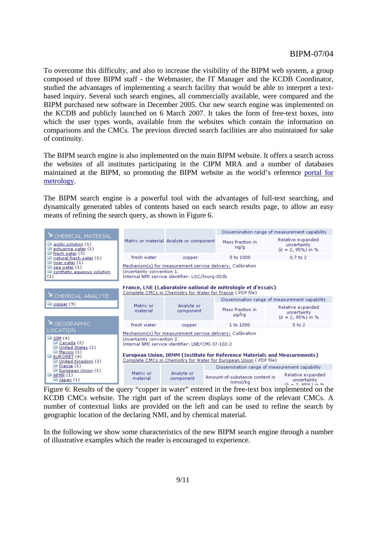To overcome this difficulty, and also to increase the visibility of the BIPM web system, a group composed of three BIPM staff - the Webmaster, the IT Manager and the KCDB Coordinator, studied the advantages of implementing a search facility that would be able to interpret a textbased inquiry. Several such search engines, all commercially available, were compared and the BIPM purchased new software in December 2005. Our new search engine was implemented on the KCDB and publicly launched on 6 March 2007. It takes the form of free-text boxes, into which the user types words, available from the websites which contain the information on comparisons and the CMCs. The previous directed search facilities are also maintained for sake of continuity.

The BIPM search engine is also implemented on the main BIPM website. It offers a search across the websites of all institutes participating in the CIPM MRA and a number of databases [maintained at the BIPM, so promoting the BIPM website as the world's reference portal for](http://search.bipm.org/bipm/en/)  metrology.

The BIPM search engine is a powerful tool with the advantages of full-text searching, and dynamically generated tables of contents based on each search results page, to allow an easy means of refining the search query, as shown in Figure 6.

| Y CHEMICAL MATERIAL<br>acidic solution (1)<br>ھا<br>estuarine water (1)<br>fresh water (3)<br>natural fresh water (1)<br>river water (1)<br>sea water (1)<br>synthetic aqueous solution<br>(1) |                                                                                                                                                                                                                            | Matrix or material Analyte or component | Dissemination range of measurement capability |                                                               |  |
|------------------------------------------------------------------------------------------------------------------------------------------------------------------------------------------------|----------------------------------------------------------------------------------------------------------------------------------------------------------------------------------------------------------------------------|-----------------------------------------|-----------------------------------------------|---------------------------------------------------------------|--|
|                                                                                                                                                                                                |                                                                                                                                                                                                                            |                                         | Mass fraction in<br>ng/g                      | Relative expanded<br>uncertainty<br>$(k = 2, 95\%)$ in %      |  |
|                                                                                                                                                                                                | fresh water                                                                                                                                                                                                                | copper                                  | 5 to 1000                                     | $0.7$ to $2$                                                  |  |
|                                                                                                                                                                                                | Mechanism(s) for measurement service delivery: Calibration<br>Uncertainty convention 1.<br>Internal NMI service identifier: LGC/Inorg-003b                                                                                 |                                         |                                               |                                                               |  |
| France, LNE (Laboratoire national de métrologie et d'essais)<br>Complete CMCs in Chemistry for Water for France (JPDF file)<br>Y CHEMICAL ANALYTE                                              |                                                                                                                                                                                                                            |                                         |                                               |                                                               |  |
| copper (9)                                                                                                                                                                                     | Matrix or<br>material                                                                                                                                                                                                      |                                         |                                               | Dissemination range of measurement capability                 |  |
|                                                                                                                                                                                                |                                                                                                                                                                                                                            | Analyte or<br>component                 | Mass fraction in<br>µg/kg                     | Relative expanded<br>uncertainty<br>$(k = 2, 95\%)$ in %      |  |
| $\mathbf{N}$ GEOGRAPHIC                                                                                                                                                                        | fresh water                                                                                                                                                                                                                | copper                                  | 1 to 1000                                     | 5 to 2                                                        |  |
| LOCATION<br>$\mathbb{R}$ SIM (4)<br>Canada (2)<br>United States (1)<br>Mexico (1)<br>EUROMET <sub>(4)</sub>                                                                                    | Mechanism(s) for measurement service delivery: Calibration.<br>Uncertainty convention 2.<br>Internal NMI service identifier: LNE/CMI-37-102-2<br>European Union, IRMM (Institute for Reference Materials and Measurements) |                                         |                                               |                                                               |  |
| United Kingdom (2)                                                                                                                                                                             | Complete CMCs in Chemistry for Water for European Union (JPDF file)                                                                                                                                                        |                                         |                                               |                                                               |  |
| France(1)<br>European Union (1)<br><b>B</b> APMP (1)<br>Japan (1)                                                                                                                              | Matrix or<br>material                                                                                                                                                                                                      | Analyte or<br>component                 | Dissemination range of measurement capability |                                                               |  |
|                                                                                                                                                                                                |                                                                                                                                                                                                                            |                                         | Amount-of-substance content in<br>mmol/kg     | Relative expanded<br>uncertainty<br>$(l_2 = 2 - 0.59L)$ in 9. |  |

Figure 6: Results of the query "copper in water" entered in the free-text box implemented on the KCDB CMCs website. The right part of the screen displays some of the relevant CMCs. A number of contextual links are provided on the left and can be used to refine the search by geographic location of the declaring NMI, and by chemical material.

In the following we show some characteristics of the new BIPM search engine through a number of illustrative examples which the reader is encouraged to experience.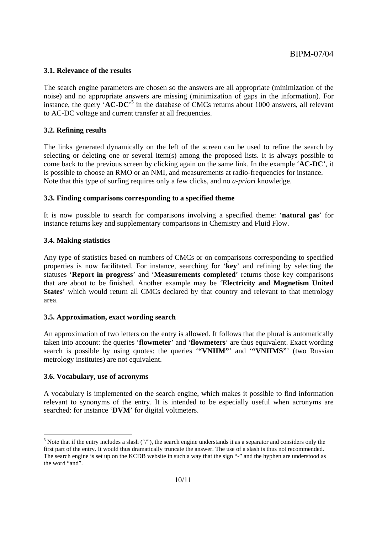#### **3.1. Relevance of the results**

The search engine parameters are chosen so the answers are all appropriate (minimization of the noise) and no appropriate answers are missing (minimization of gaps in the information). For instance, the query '**AC-DC**' 5 in the database of CMCs returns about 1000 answers, all relevant to AC-DC voltage and current transfer at all frequencies.

## **3.2. Refining results**

The links generated dynamically on the left of the screen can be used to refine the search by selecting or deleting one or several item(s) among the proposed lists. It is always possible to come back to the previous screen by clicking again on the same link. In the example '**AC-DC**', it is possible to choose an RMO or an NMI, and measurements at radio-frequencies for instance. Note that this type of surfing requires only a few clicks, and no *a-priori* knowledge.

#### **3.3. Finding comparisons corresponding to a specified theme**

It is now possible to search for comparisons involving a specified theme: '**natural gas**' for instance returns key and supplementary comparisons in Chemistry and Fluid Flow.

### **3.4. Making statistics**

Any type of statistics based on numbers of CMCs or on comparisons corresponding to specified properties is now facilitated. For instance, searching for '**key**' and refining by selecting the statuses '**Report in progress**' and '**Measurements completed**' returns those key comparisons that are about to be finished. Another example may be '**Electricity and Magnetism United States**' which would return all CMCs declared by that country and relevant to that metrology area.

#### **3.5. Approximation, exact wording search**

An approximation of two letters on the entry is allowed. It follows that the plural is automatically taken into account: the queries '**flowmeter**' and '**flowmeters**' are thus equivalent. Exact wording search is possible by using quotes: the queries "**WNIIM"** and "**WNIIMS**" (two Russian metrology institutes) are not equivalent.

#### **3.6. Vocabulary, use of acronyms**

A vocabulary is implemented on the search engine, which makes it possible to find information relevant to synonyms of the entry. It is intended to be especially useful when acronyms are searched: for instance '**DVM**' for digital voltmeters.

 <sup>5</sup> Note that if the entry includes a slash  $(2)$ , the search engine understands it as a separator and considers only the first part of the entry. It would thus dramatically truncate the answer. The use of a slash is thus not recommended. The search engine is set up on the KCDB website in such a way that the sign "-" and the hyphen are understood as the word "and".